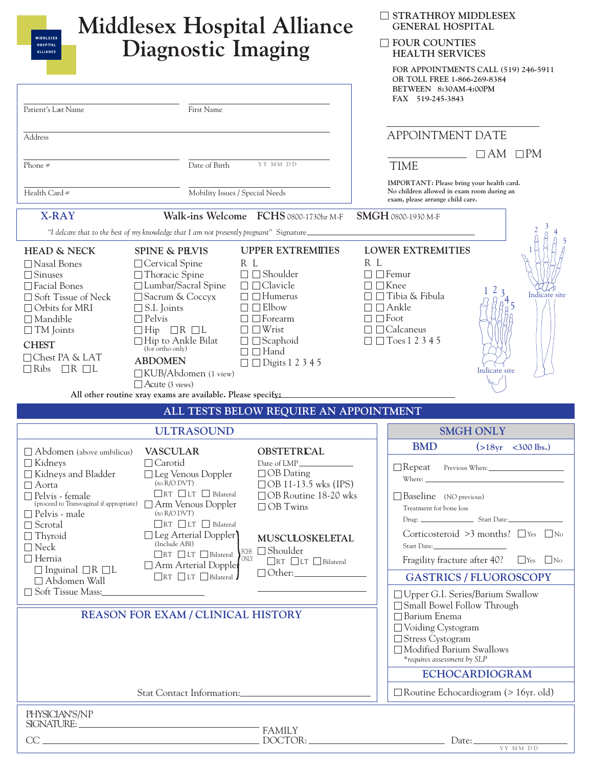|                                                                                                                                                                                                                                                                                                                                                                                                                                                                                   | <b>Middlesex Hospital Alliance</b>                                                                                                                                                                                                                                                                                                                                                                                                                     | <b>STRATHROY MIDDLESEX</b><br><b>GENERAL HOSPITAL</b>                                                                                                                                                                                                        |
|-----------------------------------------------------------------------------------------------------------------------------------------------------------------------------------------------------------------------------------------------------------------------------------------------------------------------------------------------------------------------------------------------------------------------------------------------------------------------------------|--------------------------------------------------------------------------------------------------------------------------------------------------------------------------------------------------------------------------------------------------------------------------------------------------------------------------------------------------------------------------------------------------------------------------------------------------------|--------------------------------------------------------------------------------------------------------------------------------------------------------------------------------------------------------------------------------------------------------------|
| <b>MIDDLESEX</b><br><b>HOSPITAL</b><br><b>ALLIANCE</b>                                                                                                                                                                                                                                                                                                                                                                                                                            | <b>Diagnostic Imaging</b>                                                                                                                                                                                                                                                                                                                                                                                                                              | <b>FOUR COUNTIES</b><br><b>HEALTH SERVICES</b>                                                                                                                                                                                                               |
|                                                                                                                                                                                                                                                                                                                                                                                                                                                                                   |                                                                                                                                                                                                                                                                                                                                                                                                                                                        | FOR APPOINTMENTS CALL (519) 246-5911<br>OR TOLL FREE 1-866-269-8384<br>BETWEEN 8:30AM-4:00PM<br>FAX 519-245-3843                                                                                                                                             |
| Patient's Last Name                                                                                                                                                                                                                                                                                                                                                                                                                                                               | First Name                                                                                                                                                                                                                                                                                                                                                                                                                                             |                                                                                                                                                                                                                                                              |
| Address                                                                                                                                                                                                                                                                                                                                                                                                                                                                           |                                                                                                                                                                                                                                                                                                                                                                                                                                                        | <b>APPOINTMENT DATE</b>                                                                                                                                                                                                                                      |
| Phone $#$                                                                                                                                                                                                                                                                                                                                                                                                                                                                         | YY MM DD<br>Date of Birth                                                                                                                                                                                                                                                                                                                                                                                                                              | $\Box$ AM<br>$\square$ PM<br><b>TIME</b>                                                                                                                                                                                                                     |
| Health Card #                                                                                                                                                                                                                                                                                                                                                                                                                                                                     | Mobility Issues / Special Needs                                                                                                                                                                                                                                                                                                                                                                                                                        | IMPORTANT: Please bring your health card.<br>No children allowed in exam room during an<br>exam, please arrange child care.                                                                                                                                  |
| <b>X-RAY</b>                                                                                                                                                                                                                                                                                                                                                                                                                                                                      | Walk-ins Welcome FCHS 0800-1730hr M-F<br>"I delcare that to the best of my knowledge that I am not presently pregnant" Signature_                                                                                                                                                                                                                                                                                                                      | SMGH 0800-1930 M-F                                                                                                                                                                                                                                           |
| <b>HEAD &amp; NECK</b><br><b>SPINE &amp; PEVIS</b><br>□ Nasal Bones<br>□ Cervical Spine<br>$\Box$ Thoracic Spine<br>$\Box$ Sinuses<br>□ Facial Bones<br>□ Sacrum & Coccyx<br>□ Soft Tissue of Neck<br>$\Box$ Orbits for MRI<br>$\Box$ S.I. Joints<br>$\Box$ Pelvis<br>$\Box$ Mandible<br>$\Box$ Hip $\Box$ R $\Box$ L<br>$\Box$ TM Joints<br><b>CHEST</b><br>(for ortho only)<br>□ Chest PA & LAT<br><b>ABDOMEN</b><br>$\Box$ Ribs<br>$\Box R$ $\Box L$<br>$\Box$ Acute (3 views) | <b>UPPER EXTREMITIES</b><br>R L<br>$\square \square$ Shoulder<br>□ Lumbar/Sacral Spine<br>$\Box$ $\Box$ Clavicle<br>$\Box$ Humerus<br>$\Box$ Elbow<br>$\Box$ Forearm<br>$\Box$ Wrist<br>□Hip to Ankle Bilat<br>$\Box$ $\Box$ Scaphoid<br>$\Box$ Hand<br>$\Box$ $\Box$ Digits 1 2 3 4 5<br>□KUB/Abdomen (1 view)                                                                                                                                        | <b>LOWER EXTREMITIES</b><br>R L<br>$\Box$ Femur<br>$\Box$ $\Box$ Knee<br>2<br>$\mathbf{3}$<br>Indicate site<br>$\Box$ Tibia & Fibula<br>$\Box$ Ankle<br>$\square$ Foot<br>$\Box$ Calcaneus<br>$\Box$ Toes 1 2 3 4 5<br>Indicate site                         |
| All other routine xray exams are available. Please specify:                                                                                                                                                                                                                                                                                                                                                                                                                       | ALL TESTS BELOW REQUIRE AN APPOINTMENT                                                                                                                                                                                                                                                                                                                                                                                                                 |                                                                                                                                                                                                                                                              |
|                                                                                                                                                                                                                                                                                                                                                                                                                                                                                   | <b>ULTRASOUND</b>                                                                                                                                                                                                                                                                                                                                                                                                                                      | <b>SMGH ONLY</b>                                                                                                                                                                                                                                             |
| <b>VASCULAR</b><br>$\Box$ Abdomen (above umbilicus)<br>$\Box$ Kidneys<br>$\Box$ Carotid<br>$\Box$ Kidneys and Bladder<br>(to R/O DVT)<br>$\Box$ Aorta<br>□ Pelvis - female<br>(proceed to Transvaginal if appropriate) Arm Venous Doppler<br>$\Box$ Pelvis - male<br>$($ to $R/O$ $DVT)$<br>$\Box$ Scrotal<br>$\Box$ Thyroid<br>(Include ABI)<br>$\Box$ Neck<br>$\Box$ Hernia<br>$\Box$ Inguinal $\Box$ R $\Box$ L<br>$\Box$ Abdomen Wall                                         | <b>OBSTETRICAL</b><br>Date of LMP_<br>$\Box$ OB Dating<br>$\Box$ Leg Venous Doppler<br>$\Box$ OB 11-13.5 wks (IPS)<br>$\Box$ RT $\Box$ LT $\Box$ Bilateral<br>□OB Routine 18-20 wks<br>$\Box$ OB Twins<br>RT LT Bilateral<br>$\Box$ Leg Arterial Doppler<br>MUSCULOSKELETAL<br>$FCHS$ Shoulder<br>$\Box$ RT $\Box$ LT $\Box$ Bilateral<br>ONLY<br>$\Box$ RT $\Box$ LT $\Box$ Bilateral<br>Arm Arterial Doppler<br>$\Box$ RT $\Box$ LT $\Box$ Bilateral | <b>BMD</b><br>$( > 18yr < 300$ lbs.)<br>$\Box$ Repeat<br>$\Box$ Baseline (NO previous)<br>Treatment for bone loss<br>Corticosteroid >3 months? $\Box$ Yes $\Box$ No<br>Fragility fracture after 40?<br>$\Box$ Yes $\Box$ No<br><b>GASTRICS / FLUOROSCOPY</b> |
| □ Soft Tissue Mass:                                                                                                                                                                                                                                                                                                                                                                                                                                                               |                                                                                                                                                                                                                                                                                                                                                                                                                                                        | □ Upper G.I. Series/Barium Swallow                                                                                                                                                                                                                           |
| <b>REASON FOR EXAM / CLINICAL HISTORY</b>                                                                                                                                                                                                                                                                                                                                                                                                                                         |                                                                                                                                                                                                                                                                                                                                                                                                                                                        | Small Bowel Follow Through<br>$\Box$ Barium Enema<br>$\Box$ Voiding Cystogram<br>□ Stress Cystogram<br>Modified Barium Swallows<br>*requires assessment by SLP                                                                                               |
|                                                                                                                                                                                                                                                                                                                                                                                                                                                                                   |                                                                                                                                                                                                                                                                                                                                                                                                                                                        | <b>ECHOCARDIOGRAM</b>                                                                                                                                                                                                                                        |
| Stat Contact Information:                                                                                                                                                                                                                                                                                                                                                                                                                                                         |                                                                                                                                                                                                                                                                                                                                                                                                                                                        | $\Box$ Routine Echocardiogram (> 16yr. old)                                                                                                                                                                                                                  |
| PHYSICIAN'S/NP<br>SIGNATURE: SIGNATURE:<br>$CC \underline{\hspace{1cm}}$                                                                                                                                                                                                                                                                                                                                                                                                          | <b>FAMILY</b>                                                                                                                                                                                                                                                                                                                                                                                                                                          | DOCTOR: DATE: Date:                                                                                                                                                                                                                                          |